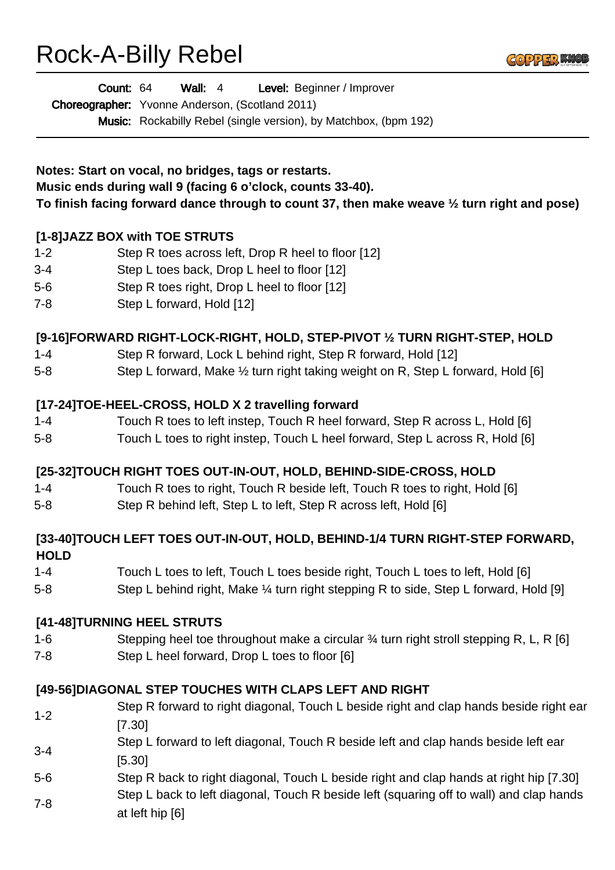# Rock-A-Billy Rebel



Wall: 4 Level: Beginner / Improver Count: 64

Choreographer: Yvonne Anderson, (Scotland 2011)

Music: Rockabilly Rebel (single version), by Matchbox, (bpm 192)

**Notes: Start on vocal, no bridges, tags or restarts. Music ends during wall 9 (facing 6 o'clock, counts 33-40). To finish facing forward dance through to count 37, then make weave ½ turn right and pose)**

## **[1-8]JAZZ BOX with TOE STRUTS**

- 1-2 Step R toes across left, Drop R heel to floor [12]
- 3-4 Step L toes back, Drop L heel to floor [12]
- 5-6 Step R toes right, Drop L heel to floor [12]
- 7-8 Step L forward, Hold [12]

### **[9-16]FORWARD RIGHT-LOCK-RIGHT, HOLD, STEP-PIVOT ½ TURN RIGHT-STEP, HOLD**

- 1-4 Step R forward, Lock L behind right, Step R forward, Hold [12]
- 5-8 Step L forward, Make ½ turn right taking weight on R, Step L forward, Hold [6]

#### **[17-24]TOE-HEEL-CROSS, HOLD X 2 travelling forward**

- 1-4 Touch R toes to left instep, Touch R heel forward, Step R across L, Hold [6]
- 5-8 Touch L toes to right instep, Touch L heel forward, Step L across R, Hold [6]

#### **[25-32]TOUCH RIGHT TOES OUT-IN-OUT, HOLD, BEHIND-SIDE-CROSS, HOLD**

- 1-4 Touch R toes to right, Touch R beside left, Touch R toes to right, Hold [6]
- 5-8 Step R behind left, Step L to left, Step R across left, Hold [6]

#### **[33-40]TOUCH LEFT TOES OUT-IN-OUT, HOLD, BEHIND-1/4 TURN RIGHT-STEP FORWARD, HOLD**

- 1-4 Touch L toes to left, Touch L toes beside right, Touch L toes to left, Hold [6]
- 5-8 Step L behind right, Make <sup>1/4</sup> turn right stepping R to side, Step L forward, Hold [9]

#### **[41-48]TURNING HEEL STRUTS**

- 1-6 Stepping heel toe throughout make a circular ¾ turn right stroll stepping R, L, R [6]
- 7-8 Step L heel forward, Drop L toes to floor [6]

#### **[49-56]DIAGONAL STEP TOUCHES WITH CLAPS LEFT AND RIGHT**

- 1-2 Step R forward to right diagonal, Touch L beside right and clap hands beside right ear [7.30]
- 3-4 Step L forward to left diagonal, Touch R beside left and clap hands beside left ear [5.30]
- 5-6 Step R back to right diagonal, Touch L beside right and clap hands at right hip [7.30] 7-8 Step L back to left diagonal, Touch R beside left (squaring off to wall) and clap hands at left hip [6]